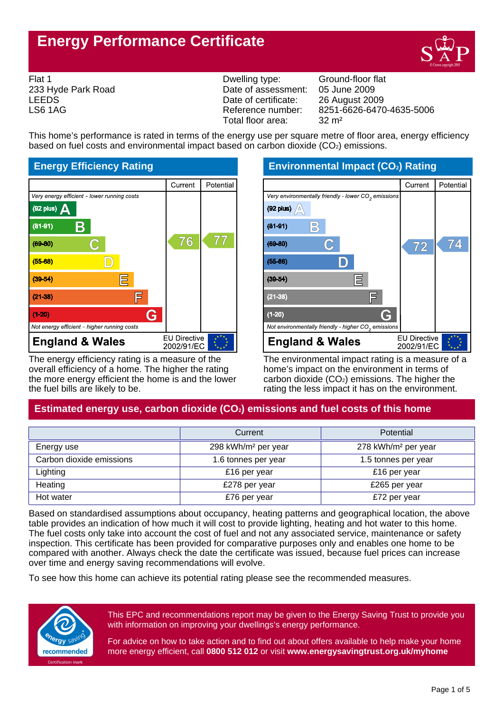# **Energy Performance Certificate**



Flat 1 **Dwelling type:** Ground-floor flat 233 Hyde Park Road Date of assessment: 05 June 2009 LEEDS Date of certificate: 26 August 2009

Total floor area: 32 m<sup>2</sup>

LS6 1AG Reference number: 8251-6626-6470-4635-5006

This home's performance is rated in terms of the energy use per square metre of floor area, energy efficiency based on fuel costs and environmental impact based on carbon dioxide (CO2) emissions.



The energy efficiency rating is a measure of the overall efficiency of a home. The higher the rating the more energy efficient the home is and the lower the fuel bills are likely to be.



The environmental impact rating is a measure of a home's impact on the environment in terms of carbon dioxide  $(CO<sub>2</sub>)$  emissions. The higher the rating the less impact it has on the environment.

### **Estimated energy use, carbon dioxide (CO2) emissions and fuel costs of this home**

|                          | Current                         | Potential                       |
|--------------------------|---------------------------------|---------------------------------|
| Energy use               | 298 kWh/m <sup>2</sup> per year | 278 kWh/m <sup>2</sup> per year |
| Carbon dioxide emissions | 1.6 tonnes per year             | 1.5 tonnes per year             |
| Lighting                 | £16 per year                    | £16 per year                    |
| Heating                  | £278 per year                   | £265 per year                   |
| Hot water                | £76 per year                    | £72 per year                    |

Based on standardised assumptions about occupancy, heating patterns and geographical location, the above table provides an indication of how much it will cost to provide lighting, heating and hot water to this home. The fuel costs only take into account the cost of fuel and not any associated service, maintenance or safety inspection. This certificate has been provided for comparative purposes only and enables one home to be compared with another. Always check the date the certificate was issued, because fuel prices can increase over time and energy saving recommendations will evolve.

To see how this home can achieve its potential rating please see the recommended measures.



This EPC and recommendations report may be given to the Energy Saving Trust to provide you with information on improving your dwellings's energy performance.

For advice on how to take action and to find out about offers available to help make your home more energy efficient, call **0800 512 012** or visit **www.energysavingtrust.org.uk/myhome**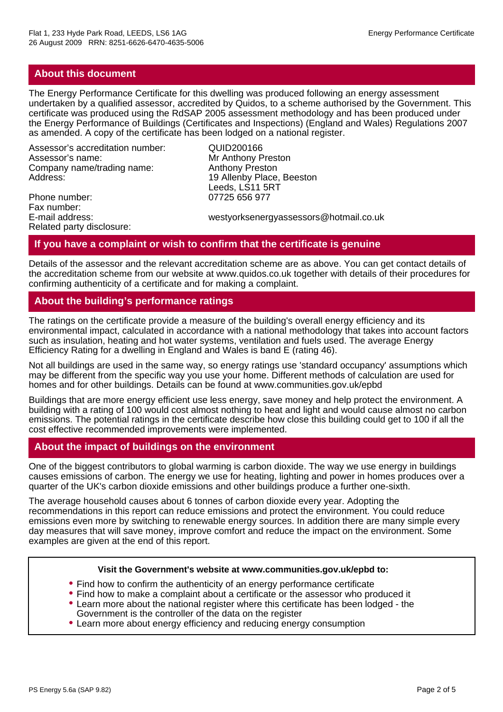#### **About this document**

The Energy Performance Certificate for this dwelling was produced following an energy assessment undertaken by a qualified assessor, accredited by Quidos, to a scheme authorised by the Government. This certificate was produced using the RdSAP 2005 assessment methodology and has been produced under the Energy Performance of Buildings (Certificates and Inspections) (England and Wales) Regulations 2007 as amended. A copy of the certificate has been lodged on a national register.

Assessor's accreditation number: QUID200166 Assessor's name: Mr Anthony Preston Company name/trading name: Anthony Preston Address: 19 Allenby Place, Beeston

Phone number: 07725 656 977 Fax number:<br>E-mail address: Related party disclosure:

Leeds, LS11 5RT

westyorksenergyassessors@hotmail.co.uk

#### **If you have a complaint or wish to confirm that the certificate is genuine**

Details of the assessor and the relevant accreditation scheme are as above. You can get contact details of the accreditation scheme from our website at www.quidos.co.uk together with details of their procedures for confirming authenticity of a certificate and for making a complaint.

#### **About the building's performance ratings**

The ratings on the certificate provide a measure of the building's overall energy efficiency and its environmental impact, calculated in accordance with a national methodology that takes into account factors such as insulation, heating and hot water systems, ventilation and fuels used. The average Energy Efficiency Rating for a dwelling in England and Wales is band E (rating 46).

Not all buildings are used in the same way, so energy ratings use 'standard occupancy' assumptions which may be different from the specific way you use your home. Different methods of calculation are used for homes and for other buildings. Details can be found at www.communities.gov.uk/epbd

Buildings that are more energy efficient use less energy, save money and help protect the environment. A building with a rating of 100 would cost almost nothing to heat and light and would cause almost no carbon emissions. The potential ratings in the certificate describe how close this building could get to 100 if all the cost effective recommended improvements were implemented.

#### **About the impact of buildings on the environment**

One of the biggest contributors to global warming is carbon dioxide. The way we use energy in buildings causes emissions of carbon. The energy we use for heating, lighting and power in homes produces over a quarter of the UK's carbon dioxide emissions and other buildings produce a further one-sixth.

The average household causes about 6 tonnes of carbon dioxide every year. Adopting the recommendations in this report can reduce emissions and protect the environment. You could reduce emissions even more by switching to renewable energy sources. In addition there are many simple every day measures that will save money, improve comfort and reduce the impact on the environment. Some examples are given at the end of this report.

#### **Visit the Government's website at www.communities.gov.uk/epbd to:**

- Find how to confirm the authenticity of an energy performance certificate
- Find how to make a complaint about a certificate or the assessor who produced it
- Learn more about the national register where this certificate has been lodged the Government is the controller of the data on the register
- Learn more about energy efficiency and reducing energy consumption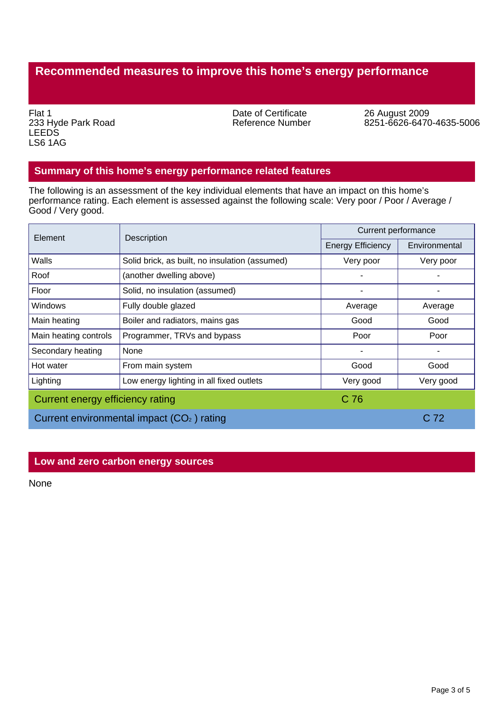## **Recommended measures to improve this home's energy performance**

Flat 1<br>
Pate of Certificate 26 August 2009<br>
Reference Number 233 Hyde Park Road<br>
251-6626-6470 **LEEDS** LS6 1AG

8251-6626-6470-4635-5006

#### **Summary of this home's energy performance related features**

The following is an assessment of the key individual elements that have an impact on this home's performance rating. Each element is assessed against the following scale: Very poor / Poor / Average / Good / Very good.

| Element                                     | Description                                    | Current performance      |                 |
|---------------------------------------------|------------------------------------------------|--------------------------|-----------------|
|                                             |                                                | <b>Energy Efficiency</b> | Environmental   |
| <b>Walls</b>                                | Solid brick, as built, no insulation (assumed) | Very poor                | Very poor       |
| Roof                                        | (another dwelling above)                       |                          |                 |
| Floor                                       | Solid, no insulation (assumed)                 |                          |                 |
| Windows                                     | Fully double glazed                            | Average                  | Average         |
| Main heating                                | Boiler and radiators, mains gas                | Good                     | Good            |
| Main heating controls                       | Programmer, TRVs and bypass                    | Poor                     | Poor            |
| Secondary heating                           | None                                           |                          |                 |
| Hot water                                   | From main system                               | Good                     | Good            |
| Lighting                                    | Low energy lighting in all fixed outlets       | Very good                | Very good       |
| Current energy efficiency rating            |                                                | C 76                     |                 |
| Current environmental impact $(CO2)$ rating |                                                |                          | C <sub>72</sub> |

#### **Low and zero carbon energy sources**

None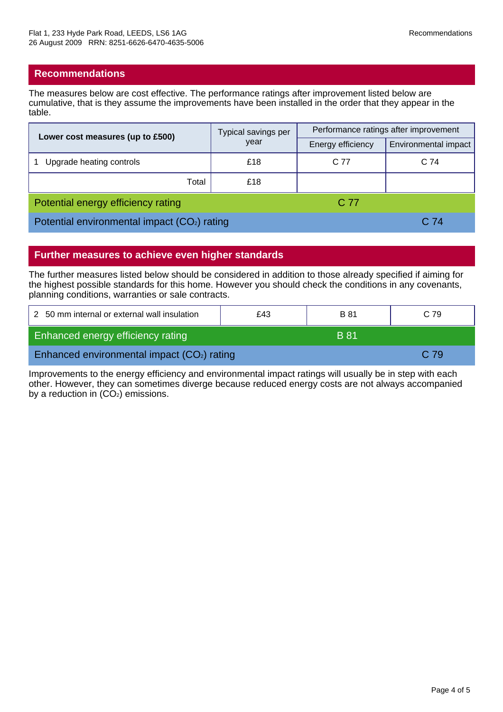#### **Recommendations**

The measures below are cost effective. The performance ratings after improvement listed below are cumulative, that is they assume the improvements have been installed in the order that they appear in the table.

| Lower cost measures (up to £500)                         | Typical savings per<br>year | Performance ratings after improvement |                      |
|----------------------------------------------------------|-----------------------------|---------------------------------------|----------------------|
|                                                          |                             | Energy efficiency                     | Environmental impact |
| Upgrade heating controls                                 | £18                         | C 77                                  | C 74                 |
| Total                                                    | £18                         |                                       |                      |
| Potential energy efficiency rating                       | C 77                        |                                       |                      |
| Potential environmental impact (CO <sub>2</sub> ) rating | C.74                        |                                       |                      |

#### **Further measures to achieve even higher standards**

The further measures listed below should be considered in addition to those already specified if aiming for the highest possible standards for this home. However you should check the conditions in any covenants, planning conditions, warranties or sale contracts.

| 2 50 mm internal or external wall insulation | £43 | B 81        | C 79 |
|----------------------------------------------|-----|-------------|------|
| Enhanced energy efficiency rating            |     | <b>B</b> 81 |      |
| Enhanced environmental impact $(CO2)$ rating |     |             | C.79 |

Improvements to the energy efficiency and environmental impact ratings will usually be in step with each other. However, they can sometimes diverge because reduced energy costs are not always accompanied by a reduction in  $(CO<sub>2</sub>)$  emissions.